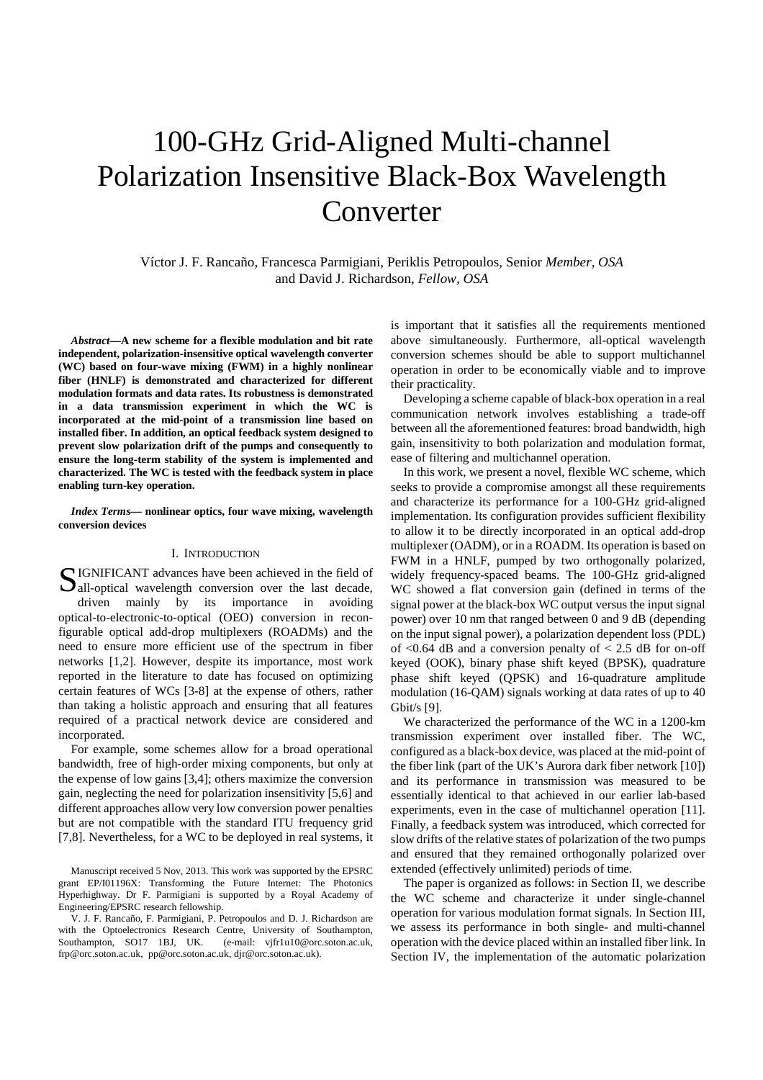# 100-GHz Grid-Aligned Multi-channel Polarization Insensitive Black-Box Wavelength Converter

Víctor J. F. Rancaño, Francesca Parmigiani, Periklis Petropoulos, Senior *Member, OSA* and David J. Richardson, *Fellow, OSA*

*Abstract***—A new scheme for a flexible modulation and bit rate independent, polarization-insensitive optical wavelength converter (WC) based on four-wave mixing (FWM) in a highly nonlinear fiber (HNLF) is demonstrated and characterized for different modulation formats and data rates. Its robustness is demonstrated in a data transmission experiment in which the WC is incorporated at the mid-point of a transmission line based on installed fiber. In addition, an optical feedback system designed to prevent slow polarization drift of the pumps and consequently to ensure the long-term stability of the system is implemented and characterized. The WC is tested with the feedback system in place enabling turn-key operation.** 

*Index Terms***— nonlinear optics, four wave mixing, wavelength conversion devices** 

# I. INTRODUCTION

IGNIFICANT advances have been achieved in the field of SIGNIFICANT advances have been achieved in the field of all-optical wavelength conversion over the last decade, driven mainly by its importance in avoiding optical-to-electronic-to-optical (OEO) conversion in reconfigurable optical add-drop multiplexers (ROADMs) and the need to ensure more efficient use of the spectrum in fiber networks [1,2]. However, despite its importance, most work reported in the literature to date has focused on optimizing certain features of WCs [3-8] at the expense of others, rather than taking a holistic approach and ensuring that all features required of a practical network device are considered and incorporated.

For example, some schemes allow for a broad operational bandwidth, free of high-order mixing components, but only at the expense of low gains [3,4]; others maximize the conversion gain, neglecting the need for polarization insensitivity [5,6] and different approaches allow very low conversion power penalties but are not compatible with the standard ITU frequency grid [7,8]. Nevertheless, for a WC to be deployed in real systems, it is important that it satisfies all the requirements mentioned above simultaneously. Furthermore, all-optical wavelength conversion schemes should be able to support multichannel operation in order to be economically viable and to improve their practicality.

Developing a scheme capable of black-box operation in a real communication network involves establishing a trade-off between all the aforementioned features: broad bandwidth, high gain, insensitivity to both polarization and modulation format, ease of filtering and multichannel operation.

In this work, we present a novel, flexible WC scheme, which seeks to provide a compromise amongst all these requirements and characterize its performance for a 100-GHz grid-aligned implementation. Its configuration provides sufficient flexibility to allow it to be directly incorporated in an optical add-drop multiplexer (OADM), or in a ROADM. Its operation is based on FWM in a HNLF, pumped by two orthogonally polarized, widely frequency-spaced beams. The 100-GHz grid-aligned WC showed a flat conversion gain (defined in terms of the signal power at the black-box WC output versus the input signal power) over 10 nm that ranged between 0 and 9 dB (depending on the input signal power), a polarization dependent loss (PDL) of  $< 0.64$  dB and a conversion penalty of  $< 2.5$  dB for on-off keyed (OOK), binary phase shift keyed (BPSK), quadrature phase shift keyed (QPSK) and 16-quadrature amplitude modulation (16-QAM) signals working at data rates of up to 40 Gbit/s [9].

We characterized the performance of the WC in a 1200-km transmission experiment over installed fiber. The WC, configured as a black-box device, was placed at the mid-point of the fiber link (part of the UK's Aurora dark fiber network [10]) and its performance in transmission was measured to be essentially identical to that achieved in our earlier lab-based experiments, even in the case of multichannel operation [11]. Finally, a feedback system was introduced, which corrected for slow drifts of the relative states of polarization of the two pumps and ensured that they remained orthogonally polarized over extended (effectively unlimited) periods of time.

The paper is organized as follows: in Section II, we describe the WC scheme and characterize it under single-channel operation for various modulation format signals. In Section III, we assess its performance in both single- and multi-channel operation with the device placed within an installed fiber link. In Section IV, the implementation of the automatic polarization

Manuscript received 5 Nov, 2013. This work was supported by the EPSRC grant EP/I01196X: Transforming the Future Internet: The Photonics Hyperhighway. Dr F. Parmigiani is supported by a Royal Academy of Engineering/EPSRC research fellowship.

V. J. F. Rancaño, F. Parmigiani, P. Petropoulos and D. J. Richardson are with the Optoelectronics Research Centre, University of Southampton, Southampton, SO17 1BJ, UK. (e-mail: vjfr1u10@orc.soton.ac.uk, frp@orc.soton.ac.uk, pp@orc.soton.ac.uk, djr@orc.soton.ac.uk).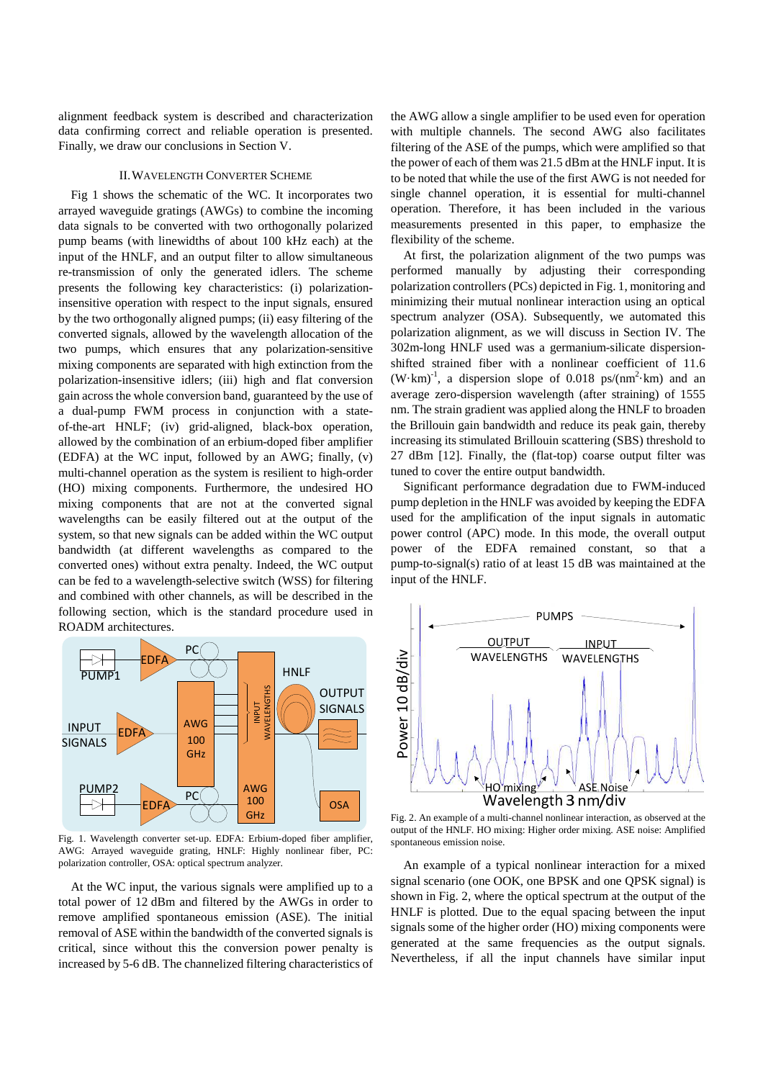alignment feedback system is described and characterization data confirming correct and reliable operation is presented. Finally, we draw our conclusions in Section V.

#### II.WAVELENGTH CONVERTER SCHEME

Fig 1 shows the schematic of the WC. It incorporates two arrayed waveguide gratings (AWGs) to combine the incoming data signals to be converted with two orthogonally polarized pump beams (with linewidths of about 100 kHz each) at the input of the HNLF, and an output filter to allow simultaneous re-transmission of only the generated idlers. The scheme presents the following key characteristics: (i) polarizationinsensitive operation with respect to the input signals, ensured by the two orthogonally aligned pumps; (ii) easy filtering of the converted signals, allowed by the wavelength allocation of the two pumps, which ensures that any polarization-sensitive mixing components are separated with high extinction from the polarization-insensitive idlers; (iii) high and flat conversion gain across the whole conversion band, guaranteed by the use of a dual-pump FWM process in conjunction with a stateof-the-art HNLF; (iv) grid-aligned, black-box operation, allowed by the combination of an erbium-doped fiber amplifier (EDFA) at the WC input, followed by an AWG; finally, (v) multi-channel operation as the system is resilient to high-order (HO) mixing components. Furthermore, the undesired HO mixing components that are not at the converted signal wavelengths can be easily filtered out at the output of the system, so that new signals can be added within the WC output bandwidth (at different wavelengths as compared to the converted ones) without extra penalty. Indeed, the WC output can be fed to a wavelength-selective switch (WSS) for filtering and combined with other channels, as will be described in the following section, which is the standard procedure used in ROADM architectures.



Fig. 1. Wavelength converter set-up. EDFA: Erbium-doped fiber amplifier, AWG: Arrayed waveguide grating, HNLF: Highly nonlinear fiber, PC: polarization controller, OSA: optical spectrum analyzer.

At the WC input, the various signals were amplified up to a total power of 12 dBm and filtered by the AWGs in order to remove amplified spontaneous emission (ASE). The initial removal of ASE within the bandwidth of the converted signals is critical, since without this the conversion power penalty is increased by 5-6 dB. The channelized filtering characteristics of the AWG allow a single amplifier to be used even for operation with multiple channels. The second AWG also facilitates filtering of the ASE of the pumps, which were amplified so that the power of each of them was 21.5 dBm at the HNLF input. It is to be noted that while the use of the first AWG is not needed for single channel operation, it is essential for multi-channel operation. Therefore, it has been included in the various measurements presented in this paper, to emphasize the flexibility of the scheme.

At first, the polarization alignment of the two pumps was performed manually by adjusting their corresponding polarization controllers (PCs) depicted in Fig. 1, monitoring and minimizing their mutual nonlinear interaction using an optical spectrum analyzer (OSA). Subsequently, we automated this polarization alignment, as we will discuss in Section IV. The 302m-long HNLF used was a germanium-silicate dispersionshifted strained fiber with a nonlinear coefficient of 11.6  $(W \cdot km)^{-1}$ , a dispersion slope of 0.018 ps/(nm<sup>2</sup> $\cdot$ km) and an average zero-dispersion wavelength (after straining) of 1555 nm. The strain gradient was applied along the HNLF to broaden the Brillouin gain bandwidth and reduce its peak gain, thereby increasing its stimulated Brillouin scattering (SBS) threshold to 27 dBm [12]. Finally, the (flat-top) coarse output filter was tuned to cover the entire output bandwidth.

Significant performance degradation due to FWM-induced pump depletion in the HNLF was avoided by keeping the EDFA used for the amplification of the input signals in automatic power control (APC) mode. In this mode, the overall output power of the EDFA remained constant, so that a pump-to-signal(s) ratio of at least 15 dB was maintained at the input of the HNLF.



Fig. 2. An example of a multi-channel nonlinear interaction, as observed at the output of the HNLF. HO mixing: Higher order mixing. ASE noise: Amplified spontaneous emission noise.

An example of a typical nonlinear interaction for a mixed signal scenario (one OOK, one BPSK and one QPSK signal) is shown in Fig. 2, where the optical spectrum at the output of the HNLF is plotted. Due to the equal spacing between the input signals some of the higher order (HO) mixing components were generated at the same frequencies as the output signals. Nevertheless, if all the input channels have similar input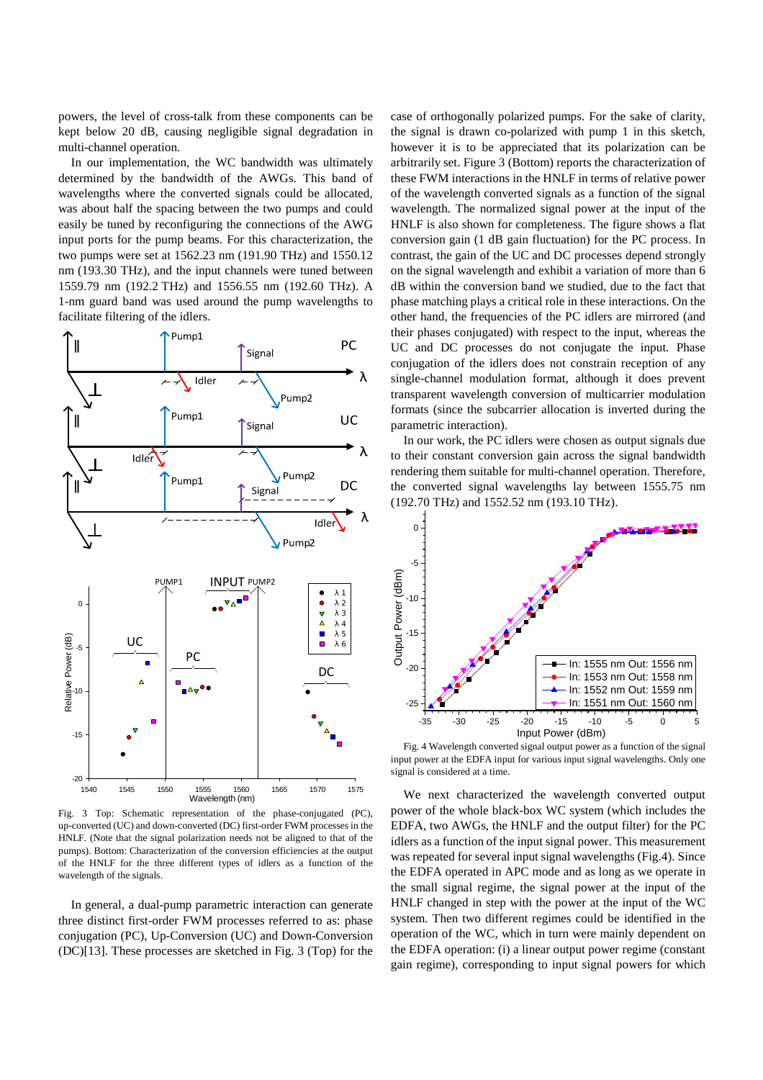powers, the level of cross-talk from these components can be kept below 20 dB, causing negligible signal degradation in multi-channel operation.

In our implementation, the WC bandwidth was ultimately determined by the bandwidth of the AWGs. This band of wavelengths where the converted signals could be allocated, was about half the spacing between the two pumps and could easily be tuned by reconfiguring the connections of the AWG input ports for the pump beams. For this characterization, the two pumps were set at 1562.23 nm (191.90 THz) and 1550.12 nm (193.30 THz), and the input channels were tuned between 1559.79 nm (192.2 THz) and 1556.55 nm (192.60 THz). A 1-nm guard band was used around the pump wavelengths to facilitate filtering of the idlers.



Fig. 3 Top: Schematic representation of the phase-conjugated (PC), up-converted (UC) and down-converted (DC) first-order FWM processes in the HNLF. (Note that the signal polarization needs not be aligned to that of the pumps). Bottom: Characterization of the conversion efficiencies at the output of the HNLF for the three different types of idlers as a function of the wavelength of the signals.

In general, a dual-pump parametric interaction can generate three distinct first-order FWM processes referred to as: phase conjugation (PC), Up-Conversion (UC) and Down-Conversion (DC)[13]. These processes are sketched in Fig. 3 (Top) for the

case of orthogonally polarized pumps. For the sake of clarity, the signal is drawn co-polarized with pump 1 in this sketch, however it is to be appreciated that its polarization can be arbitrarily set. Figure 3 (Bottom) reports the characterization of these FWM interactions in the HNLF in terms of relative power of the wavelength converted signals as a function of the signal wavelength. The normalized signal power at the input of the HNLF is also shown for completeness. The figure shows a flat conversion gain (1 dB gain fluctuation) for the PC process. In contrast, the gain of the UC and DC processes depend strongly on the signal wavelength and exhibit a variation of more than 6 dB within the conversion band we studied, due to the fact that phase matching plays a critical role in these interactions. On the other hand, the frequencies of the PC idlers are mirrored (and their phases conjugated) with respect to the input, whereas the UC and DC processes do not conjugate the input. Phase conjugation of the idlers does not constrain reception of any single-channel modulation format, although it does prevent transparent wavelength conversion of multicarrier modulation formats (since the subcarrier allocation is inverted during the parametric interaction).

In our work, the PC idlers were chosen as output signals due to their constant conversion gain across the signal bandwidth rendering them suitable for multi-channel operation. Therefore, the converted signal wavelengths lay between 1555.75 nm (192.70 THz) and 1552.52 nm (193.10 THz).



Fig. 4 Wavelength converted signal output power as a function of the signal input power at the EDFA input for various input signal wavelengths. Only one signal is considered at a time.

We next characterized the wavelength converted output power of the whole black-box WC system (which includes the EDFA, two AWGs, the HNLF and the output filter) for the PC idlers as a function of the input signal power. This measurement was repeated for several input signal wavelengths (Fig.4). Since the EDFA operated in APC mode and as long as we operate in the small signal regime, the signal power at the input of the HNLF changed in step with the power at the input of the WC system. Then two different regimes could be identified in the operation of the WC, which in turn were mainly dependent on the EDFA operation: (i) a linear output power regime (constant gain regime), corresponding to input signal powers for which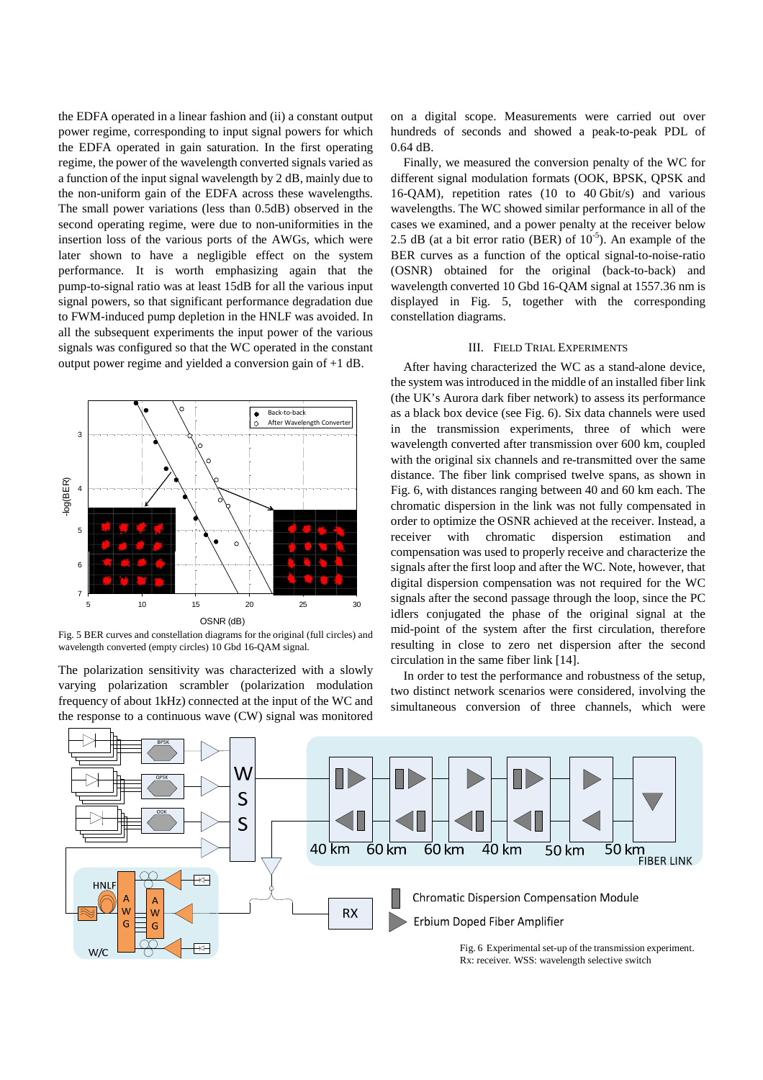the EDFA operated in a linear fashion and (ii) a constant output power regime, corresponding to input signal powers for which the EDFA operated in gain saturation. In the first operating regime, the power of the wavelength converted signals varied as a function of the input signal wavelength by 2 dB, mainly due to the non-uniform gain of the EDFA across these wavelengths. The small power variations (less than 0.5dB) observed in the second operating regime, were due to non-uniformities in the insertion loss of the various ports of the AWGs, which were later shown to have a negligible effect on the system performance. It is worth emphasizing again that the pump-to-signal ratio was at least 15dB for all the various input signal powers, so that significant performance degradation due to FWM-induced pump depletion in the HNLF was avoided. In all the subsequent experiments the input power of the various signals was configured so that the WC operated in the constant output power regime and yielded a conversion gain of +1 dB.



Fig. 5 BER curves and constellation diagrams for the original (full circles) and wavelength converted (empty circles) 10 Gbd 16-QAM signal.

The polarization sensitivity was characterized with a slowly varying polarization scrambler (polarization modulation frequency of about 1kHz) connected at the input of the WC and the response to a continuous wave (CW) signal was monitored

on a digital scope. Measurements were carried out over hundreds of seconds and showed a peak-to-peak PDL of 0.64 dB.

Finally, we measured the conversion penalty of the WC for different signal modulation formats (OOK, BPSK, QPSK and 16-QAM), repetition rates (10 to 40 Gbit/s) and various wavelengths. The WC showed similar performance in all of the cases we examined, and a power penalty at the receiver below 2.5 dB (at a bit error ratio (BER) of  $10^{-5}$ ). An example of the BER curves as a function of the optical signal-to-noise-ratio (OSNR) obtained for the original (back-to-back) and wavelength converted 10 Gbd 16-QAM signal at 1557.36 nm is displayed in Fig. 5, together with the corresponding constellation diagrams.

# III. FIELD TRIAL EXPERIMENTS

After having characterized the WC as a stand-alone device, the system was introduced in the middle of an installed fiber link (the UK's Aurora dark fiber network) to assess its performance as a black box device (see Fig. 6). Six data channels were used in the transmission experiments, three of which were wavelength converted after transmission over 600 km, coupled with the original six channels and re-transmitted over the same distance. The fiber link comprised twelve spans, as shown in Fig. 6, with distances ranging between 40 and 60 km each. The chromatic dispersion in the link was not fully compensated in order to optimize the OSNR achieved at the receiver. Instead, a receiver with chromatic dispersion estimation and compensation was used to properly receive and characterize the signals after the first loop and after the WC. Note, however, that digital dispersion compensation was not required for the WC signals after the second passage through the loop, since the PC idlers conjugated the phase of the original signal at the mid-point of the system after the first circulation, therefore resulting in close to zero net dispersion after the second circulation in the same fiber link [14].

In order to test the performance and robustness of the setup, two distinct network scenarios were considered, involving the simultaneous conversion of three channels, which were



Rx: receiver. WSS: wavelength selective switch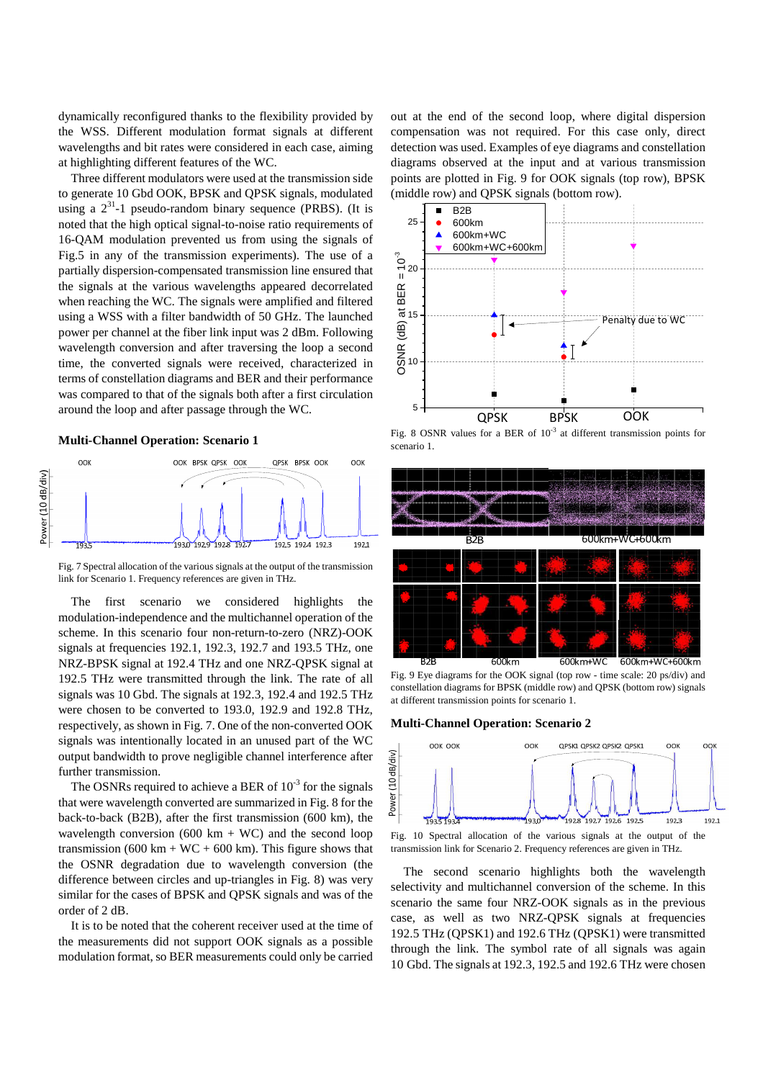dynamically reconfigured thanks to the flexibility provided by the WSS. Different modulation format signals at different wavelengths and bit rates were considered in each case, aiming at highlighting different features of the WC.

Three different modulators were used at the transmission side to generate 10 Gbd OOK, BPSK and QPSK signals, modulated using a  $2^{31}$ -1 pseudo-random binary sequence (PRBS). (It is noted that the high optical signal-to-noise ratio requirements of 16-QAM modulation prevented us from using the signals of Fig.5 in any of the transmission experiments). The use of a partially dispersion-compensated transmission line ensured that the signals at the various wavelengths appeared decorrelated when reaching the WC. The signals were amplified and filtered using a WSS with a filter bandwidth of 50 GHz. The launched power per channel at the fiber link input was 2 dBm. Following wavelength conversion and after traversing the loop a second time, the converted signals were received, characterized in terms of constellation diagrams and BER and their performance was compared to that of the signals both after a first circulation around the loop and after passage through the WC.

# **Multi-Channel Operation: Scenario 1**



Fig. 7 Spectral allocation of the various signals at the output of the transmission link for Scenario 1. Frequency references are given in THz.

The first scenario we considered highlights the modulation-independence and the multichannel operation of the scheme. In this scenario four non-return-to-zero (NRZ)-OOK signals at frequencies 192.1, 192.3, 192.7 and 193.5 THz, one NRZ-BPSK signal at 192.4 THz and one NRZ-QPSK signal at 192.5 THz were transmitted through the link. The rate of all signals was 10 Gbd. The signals at 192.3, 192.4 and 192.5 THz were chosen to be converted to 193.0, 192.9 and 192.8 THz, respectively, as shown in Fig. 7. One of the non-converted OOK signals was intentionally located in an unused part of the WC output bandwidth to prove negligible channel interference after further transmission.

The OSNRs required to achieve a BER of  $10^{-3}$  for the signals that were wavelength converted are summarized in Fig. 8 for the back-to-back (B2B), after the first transmission (600 km), the wavelength conversion (600 km + WC) and the second loop transmission (600 km + WC + 600 km). This figure shows that the OSNR degradation due to wavelength conversion (the difference between circles and up-triangles in Fig. 8) was very similar for the cases of BPSK and QPSK signals and was of the order of 2 dB.

It is to be noted that the coherent receiver used at the time of the measurements did not support OOK signals as a possible modulation format, so BER measurements could only be carried

out at the end of the second loop, where digital dispersion compensation was not required. For this case only, direct detection was used. Examples of eye diagrams and constellation diagrams observed at the input and at various transmission points are plotted in Fig. 9 for OOK signals (top row), BPSK (middle row) and QPSK signals (bottom row).



Fig. 8 OSNR values for a BER of  $10^{-3}$  at different transmission points for scenario 1.



Fig. 9 Eye diagrams for the OOK signal (top row - time scale: 20 ps/div) and constellation diagrams for BPSK (middle row) and QPSK (bottom row) signals at different transmission points for scenario 1.

### **Multi-Channel Operation: Scenario 2**



Fig. 10 Spectral allocation of the various signals at the output of the transmission link for Scenario 2. Frequency references are given in THz.

The second scenario highlights both the wavelength selectivity and multichannel conversion of the scheme. In this scenario the same four NRZ-OOK signals as in the previous case, as well as two NRZ-QPSK signals at frequencies 192.5 THz (QPSK1) and 192.6 THz (QPSK1) were transmitted through the link. The symbol rate of all signals was again 10 Gbd. The signals at 192.3, 192.5 and 192.6 THz were chosen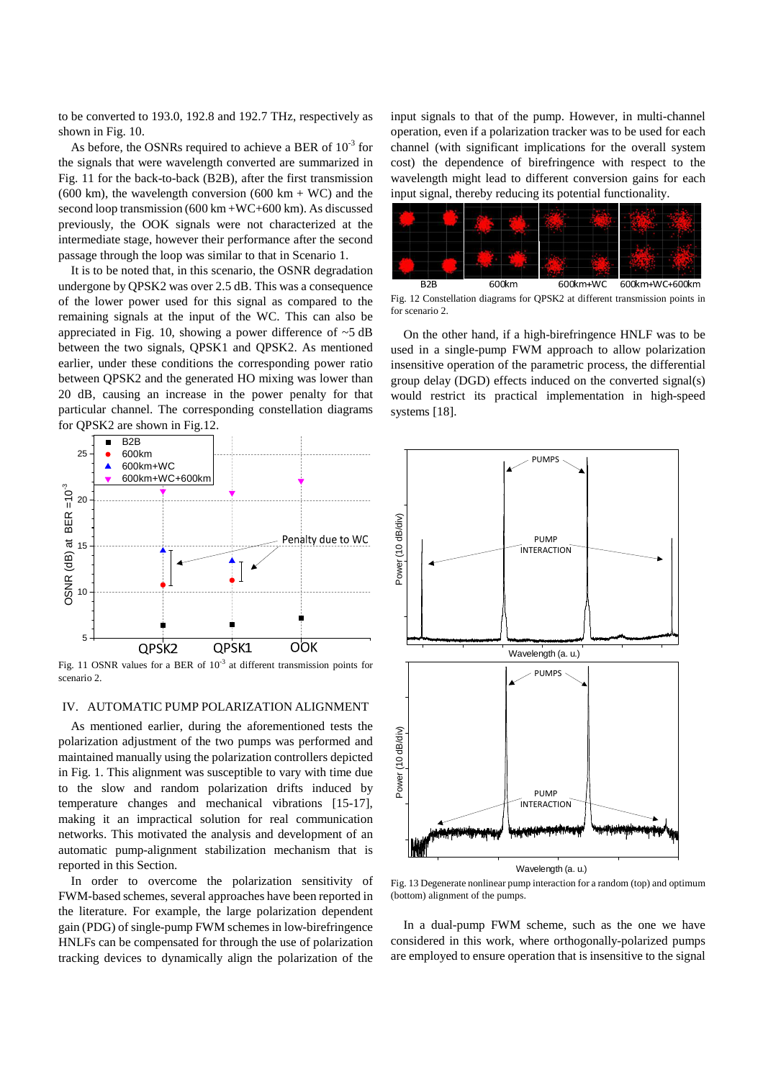to be converted to 193.0, 192.8 and 192.7 THz, respectively as shown in Fig. 10.

As before, the OSNRs required to achieve a BER of  $10^{-3}$  for the signals that were wavelength converted are summarized in Fig. 11 for the back-to-back (B2B), after the first transmission (600 km), the wavelength conversion (600 km + WC) and the second loop transmission (600 km +WC+600 km). As discussed previously, the OOK signals were not characterized at the intermediate stage, however their performance after the second passage through the loop was similar to that in Scenario 1.

It is to be noted that, in this scenario, the OSNR degradation undergone by QPSK2 was over 2.5 dB. This was a consequence of the lower power used for this signal as compared to the remaining signals at the input of the WC. This can also be appreciated in Fig. 10, showing a power difference of  $\sim$ 5 dB between the two signals, QPSK1 and QPSK2. As mentioned earlier, under these conditions the corresponding power ratio between QPSK2 and the generated HO mixing was lower than 20 dB, causing an increase in the power penalty for that particular channel. The corresponding constellation diagrams for QPSK2 are shown in Fig.12.



Fig. 11 OSNR values for a BER of  $10^{-3}$  at different transmission points for scenario 2.

### IV. AUTOMATIC PUMP POLARIZATION ALIGNMENT

As mentioned earlier, during the aforementioned tests the polarization adjustment of the two pumps was performed and maintained manually using the polarization controllers depicted in Fig. 1. This alignment was susceptible to vary with time due to the slow and random polarization drifts induced by temperature changes and mechanical vibrations [15-17], making it an impractical solution for real communication networks. This motivated the analysis and development of an automatic pump-alignment stabilization mechanism that is reported in this Section.

In order to overcome the polarization sensitivity of FWM-based schemes, several approaches have been reported in the literature. For example, the large polarization dependent gain (PDG) of single-pump FWM schemes in low-birefringence HNLFs can be compensated for through the use of polarization tracking devices to dynamically align the polarization of the input signals to that of the pump. However, in multi-channel operation, even if a polarization tracker was to be used for each channel (with significant implications for the overall system cost) the dependence of birefringence with respect to the wavelength might lead to different conversion gains for each input signal, thereby reducing its potential functionality.



Fig. 12 Constellation diagrams for QPSK2 at different transmission points in for scenario 2.

On the other hand, if a high-birefringence HNLF was to be used in a single-pump FWM approach to allow polarization insensitive operation of the parametric process, the differential group delay (DGD) effects induced on the converted signal(s) would restrict its practical implementation in high-speed systems [18].



Fig. 13 Degenerate nonlinear pump interaction for a random (top) and optimum (bottom) alignment of the pumps.

In a dual-pump FWM scheme, such as the one we have considered in this work, where orthogonally-polarized pumps are employed to ensure operation that is insensitive to the signal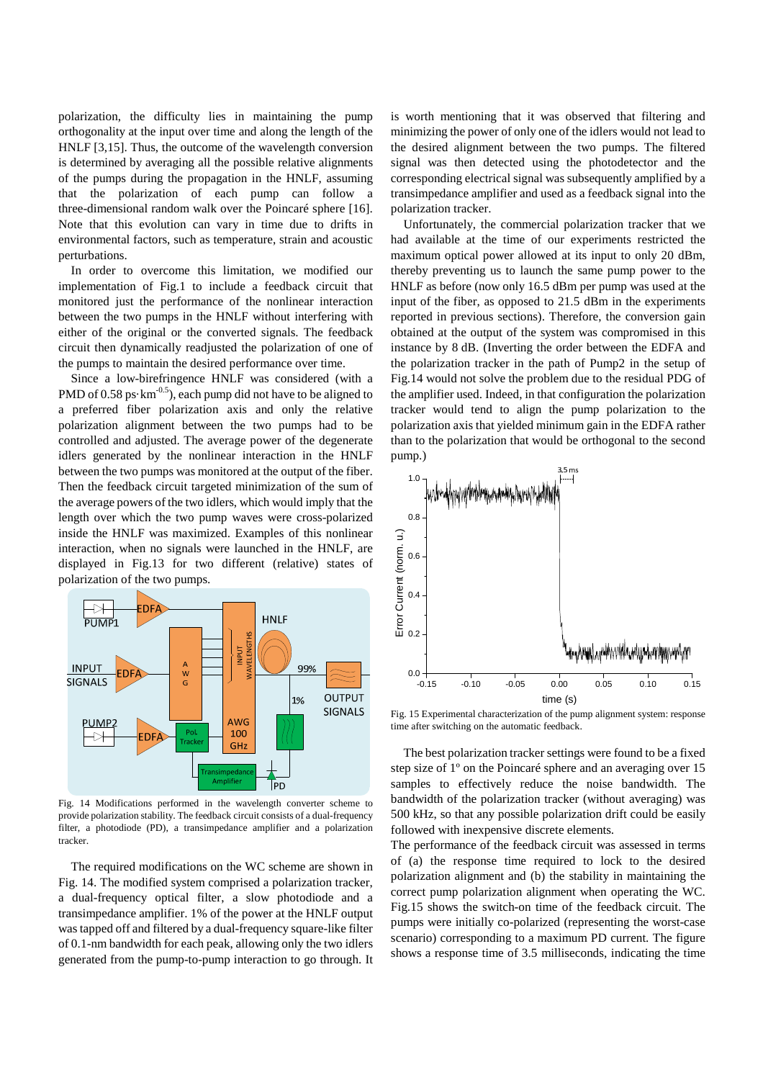polarization, the difficulty lies in maintaining the pump orthogonality at the input over time and along the length of the HNLF [3,15]. Thus, the outcome of the wavelength conversion is determined by averaging all the possible relative alignments of the pumps during the propagation in the HNLF, assuming that the polarization of each pump can follow a three-dimensional random walk over the Poincaré sphere [16]. Note that this evolution can vary in time due to drifts in environmental factors, such as temperature, strain and acoustic perturbations.

In order to overcome this limitation, we modified our implementation of Fig.1 to include a feedback circuit that monitored just the performance of the nonlinear interaction between the two pumps in the HNLF without interfering with either of the original or the converted signals. The feedback circuit then dynamically readjusted the polarization of one of the pumps to maintain the desired performance over time.

Since a low-birefringence HNLF was considered (with a PMD of  $0.58 \text{ ps} \cdot \text{km}^{-0.5}$ , each pump did not have to be aligned to a preferred fiber polarization axis and only the relative polarization alignment between the two pumps had to be controlled and adjusted. The average power of the degenerate idlers generated by the nonlinear interaction in the HNLF between the two pumps was monitored at the output of the fiber. Then the feedback circuit targeted minimization of the sum of the average powers of the two idlers, which would imply that the length over which the two pump waves were cross-polarized inside the HNLF was maximized. Examples of this nonlinear interaction, when no signals were launched in the HNLF, are displayed in Fig.13 for two different (relative) states of polarization of the two pumps.



Fig. 14 Modifications performed in the wavelength converter scheme to provide polarization stability. The feedback circuit consists of a dual-frequency filter, a photodiode (PD), a transimpedance amplifier and a polarization tracker.

The required modifications on the WC scheme are shown in Fig. 14. The modified system comprised a polarization tracker, a dual-frequency optical filter, a slow photodiode and a transimpedance amplifier. 1% of the power at the HNLF output was tapped off and filtered by a dual-frequency square-like filter of 0.1-nm bandwidth for each peak, allowing only the two idlers generated from the pump-to-pump interaction to go through. It is worth mentioning that it was observed that filtering and minimizing the power of only one of the idlers would not lead to the desired alignment between the two pumps. The filtered signal was then detected using the photodetector and the corresponding electrical signal was subsequently amplified by a transimpedance amplifier and used as a feedback signal into the polarization tracker.

Unfortunately, the commercial polarization tracker that we had available at the time of our experiments restricted the maximum optical power allowed at its input to only 20 dBm, thereby preventing us to launch the same pump power to the HNLF as before (now only 16.5 dBm per pump was used at the input of the fiber, as opposed to 21.5 dBm in the experiments reported in previous sections). Therefore, the conversion gain obtained at the output of the system was compromised in this instance by 8 dB. (Inverting the order between the EDFA and the polarization tracker in the path of Pump2 in the setup of Fig.14 would not solve the problem due to the residual PDG of the amplifier used. Indeed, in that configuration the polarization tracker would tend to align the pump polarization to the polarization axis that yielded minimum gain in the EDFA rather than to the polarization that would be orthogonal to the second pump.)



Fig. 15 Experimental characterization of the pump alignment system: response time after switching on the automatic feedback.

The best polarization tracker settings were found to be a fixed step size of 1º on the Poincaré sphere and an averaging over 15 samples to effectively reduce the noise bandwidth. The bandwidth of the polarization tracker (without averaging) was 500 kHz, so that any possible polarization drift could be easily followed with inexpensive discrete elements.

The performance of the feedback circuit was assessed in terms of (a) the response time required to lock to the desired polarization alignment and (b) the stability in maintaining the correct pump polarization alignment when operating the WC. Fig.15 shows the switch-on time of the feedback circuit. The pumps were initially co-polarized (representing the worst-case scenario) corresponding to a maximum PD current. The figure shows a response time of 3.5 milliseconds, indicating the time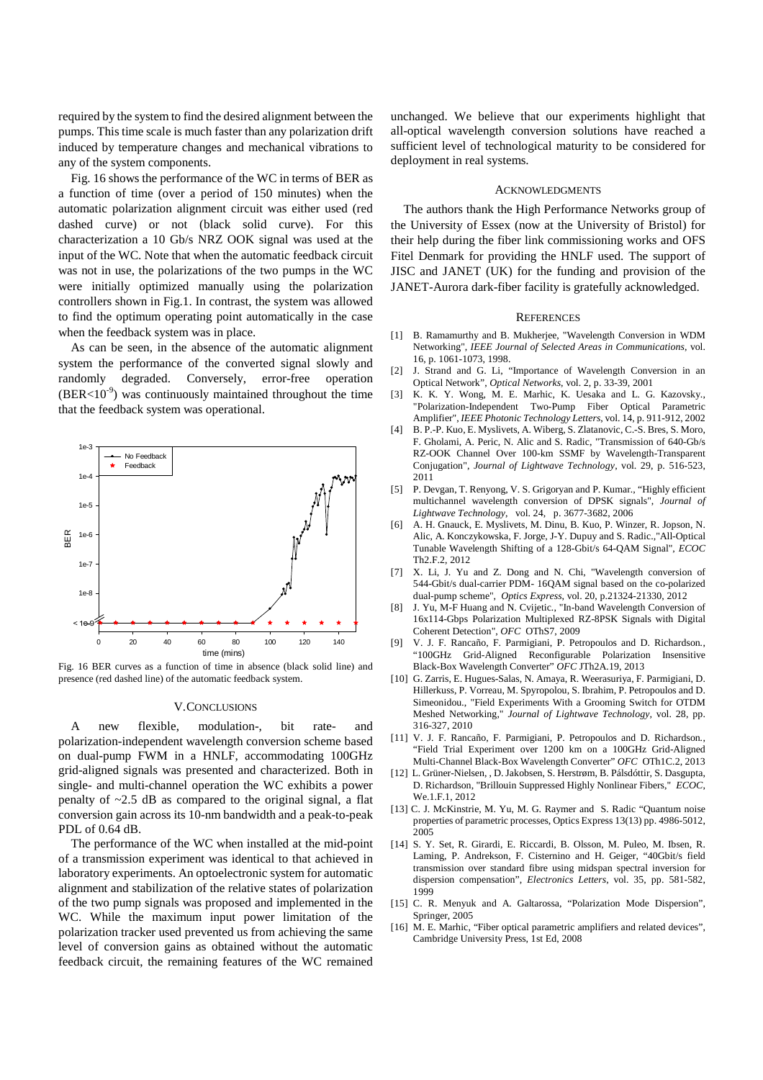required by the system to find the desired alignment between the pumps. This time scale is much faster than any polarization drift induced by temperature changes and mechanical vibrations to any of the system components.

Fig. 16 shows the performance of the WC in terms of BER as a function of time (over a period of 150 minutes) when the automatic polarization alignment circuit was either used (red dashed curve) or not (black solid curve). For this characterization a 10 Gb/s NRZ OOK signal was used at the input of the WC. Note that when the automatic feedback circuit was not in use, the polarizations of the two pumps in the WC were initially optimized manually using the polarization controllers shown in Fig.1. In contrast, the system was allowed to find the optimum operating point automatically in the case when the feedback system was in place.

As can be seen, in the absence of the automatic alignment system the performance of the converted signal slowly and randomly degraded. Conversely, error-free operation  $(BER<10^{-9})$  was continuously maintained throughout the time that the feedback system was operational.



Fig. 16 BER curves as a function of time in absence (black solid line) and presence (red dashed line) of the automatic feedback system.

#### V.CONCLUSIONS

A new flexible, modulation-, bit rate- and polarization-independent wavelength conversion scheme based on dual-pump FWM in a HNLF, accommodating 100GHz grid-aligned signals was presented and characterized. Both in single- and multi-channel operation the WC exhibits a power penalty of  $\sim$ 2.5 dB as compared to the original signal, a flat conversion gain across its 10-nm bandwidth and a peak-to-peak PDL of 0.64 dB.

The performance of the WC when installed at the mid-point of a transmission experiment was identical to that achieved in laboratory experiments. An optoelectronic system for automatic alignment and stabilization of the relative states of polarization of the two pump signals was proposed and implemented in the WC. While the maximum input power limitation of the polarization tracker used prevented us from achieving the same level of conversion gains as obtained without the automatic feedback circuit, the remaining features of the WC remained unchanged. We believe that our experiments highlight that all-optical wavelength conversion solutions have reached a sufficient level of technological maturity to be considered for deployment in real systems.

#### ACKNOWLEDGMENTS

The authors thank the High Performance Networks group of the University of Essex (now at the University of Bristol) for their help during the fiber link commissioning works and OFS Fitel Denmark for providing the HNLF used. The support of JISC and JANET (UK) for the funding and provision of the JANET-Aurora dark-fiber facility is gratefully acknowledged.

#### **REFERENCES**

- [1] B. Ramamurthy and B. Mukheriee, "Wavelength Conversion in WDM Networking", *IEEE Journal of Selected Areas in Communications*, vol. 16, p. 1061-1073, 1998.
- [2] J. Strand and G. Li, "Importance of Wavelength Conversion in an Optical Network", *Optical Networks*, vol. 2, p. 33-39, 2001
- [3] K. K. Y. Wong, M. E. Marhic, K. Uesaka and L. G. Kazovsky., "Polarization-Independent Two-Pump Fiber Optical Parametric Amplifier", *IEEE Photonic Technology Letters*, vol. 14, p. 911-912, 2002
- [4] B. P.-P. Kuo, E. Myslivets, A. Wiberg, S. Zlatanovic, C.-S. Bres, S. Moro, F. Gholami, A. Peric, N. Alic and S. Radic, "Transmission of 640-Gb/s RZ-OOK Channel Over 100-km SSMF by Wavelength-Transparent Conjugation", *Journal of Lightwave Technology*, vol. 29, p. 516-523, 2011
- [5] P. Devgan, T. Renyong, V. S. Grigoryan and P. Kumar*.*, "Highly efficient multichannel wavelength conversion of DPSK signals", *Journal of Lightwave Technology*, vol. 24, p. 3677-3682, 2006
- [6] A. H. Gnauck, E. Myslivets, M. Dinu, B. Kuo, P. Winzer, R. Jopson, N. Alic, A. Konczykowska, F. Jorge, J-Y. Dupuy and S. Radic.,"All-Optical Tunable Wavelength Shifting of a 128-Gbit/s 64-QAM Signal", *ECOC* Th2.F.2, 2012
- [7] X. Li, J. Yu and Z. Dong and N. Chi, "Wavelength conversion of 544-Gbit/s dual-carrier PDM- 16QAM signal based on the co-polarized dual-pump scheme", *Optics Express*, vol. 20, p.21324-21330, 2012
- [8] J. Yu, M-F Huang and N. Cvijetic*.*, "In-band Wavelength Conversion of 16x114-Gbps Polarization Multiplexed RZ-8PSK Signals with Digital Coherent Detection", *OFC* OThS7, 2009
- [9] V. J. F. Rancaño, F. Parmigiani, P. Petropoulos and D. Richardson*.*, "100GHz Grid-Aligned Reconfigurable Polarization Insensitive Black-Box Wavelength Converter" *OFC* JTh2A.19, 2013
- [10] G. Zarris, E. Hugues-Salas, N. Amaya, R. Weerasuriya, F. Parmigiani, D. Hillerkuss, P. Vorreau, M. Spyropolou, S. Ibrahim, P. Petropoulos and D. Simeonidou*.*, "Field Experiments With a Grooming Switch for OTDM Meshed Networking," *Journal of Lightwave Technology,* vol. 28, pp. 316-327, 2010
- [11] V. J. F. Rancaño, F. Parmigiani, P. Petropoulos and D. Richardson*.*, "Field Trial Experiment over 1200 km on a 100GHz Grid-Aligned Multi-Channel Black-Box Wavelength Converter" *OFC* OTh1C.2, 2013
- [12] L. Grüner-Nielsen, , D. Jakobsen, S. Herstrøm, B. Pálsdóttir, S. Dasgupta, D. Richardson, "Brillouin Suppressed Highly Nonlinear Fibers," *ECOC*, We.1 F.1, 2012
- [13] C. J. McKinstrie, M. Yu, M. G. Raymer and S. Radic "Quantum noise properties of parametric processes, Optics Express 13(13) pp. 4986-5012, 2005
- [14] S. Y. Set, R. Girardi, E. Riccardi, B. Olsson, M. Puleo, M. Ibsen, R. Laming, P. Andrekson, F. Cisternino and H. Geiger, "40Gbit/s field transmission over standard fibre using midspan spectral inversion for dispersion compensation", *Electronics Letters*, vol. 35, pp. 581-582, 1999
- [15] C. R. Menyuk and A. Galtarossa, "Polarization Mode Dispersion", Springer, 2005
- [16] M. E. Marhic, "Fiber optical parametric amplifiers and related devices", Cambridge University Press, 1st Ed, 2008